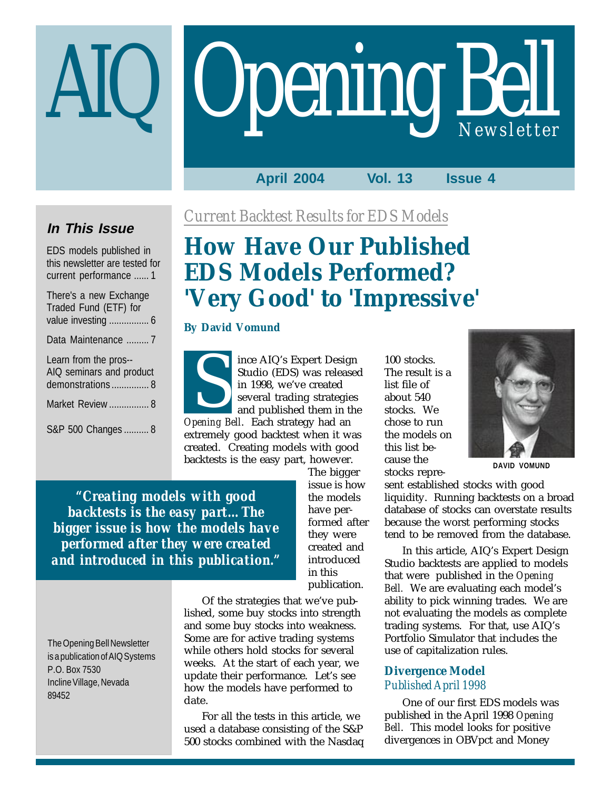# **Opening Bell**

## **April 2004 Vol. 13 Issue 4**

## **In This Issue**

EDS models published in this newsletter are tested for current performance ...... 1

| There's a new Exchange<br>Traded Fund (ETF) for<br>value investing  6 |
|-----------------------------------------------------------------------|
| Data Maintenance 7                                                    |
| Learn from the pros--<br>AIQ seminars and product<br>demonstrations 8 |
| Market Review  8                                                      |
| S&P 500 Changes  8                                                    |

*Current Backtest Results for EDS Models*

# **How Have Our Published EDS Models Performed? 'Very Good' to 'Impressive'**

## **By David Vomund**

ince AIQ's Expert Design Studio (EDS) was released in 1998, we've created several trading strategies and published them in the *Opening Bell*. Each strategy had an extremely good backtest when it was created. Creating models with good backtests is the easy part, however. Studio (EDS) was released The result<br>in 1998, we've created The result<br>in 1998, we've created list file of<br>several trading strategies about 540<br>and published them in the stocks. We<br>pening Bell Fach strategy had an

*backtests is the easy part…The bigger issue is how the models have performed after they were created and introduced in this publication."* The bigger issue is how the models have performed after they were created and introduced in this publication.

Of the strategies that we've published, some buy stocks into strength and some buy stocks into weakness. Some are for active trading systems while others hold stocks for several weeks. At the start of each year, we update their performance. Let's see how the models have performed to date.

For all the tests in this article, we used a database consisting of the S&P 500 stocks combined with the Nasdaq The result is a list file of about 540 stocks. We chose to run the models on this list because the stocks repre-



**DAVID VOMUND**

sent established stocks with good liquidity. Running backtests on a broad database of stocks can overstate results because the worst performing stocks tend to be removed from the database.

In this article, AIQ's Expert Design Studio backtests are applied to models that were published in the *Opening Bell.* We are evaluating each model's ability to pick winning trades. We are not evaluating the models as complete trading systems. For that, use AIQ's Portfolio Simulator that includes the use of capitalization rules.

## **Divergence Model** *Published April 1998*

One of our first EDS models was published in the April 1998 *Opening Bell*. This model looks for positive divergences in OBVpct and Money

*"Creating models with good*

The Opening Bell Newsletter is a publication of AIQ Systems P.O. Box 7530 Incline Village, Nevada 89452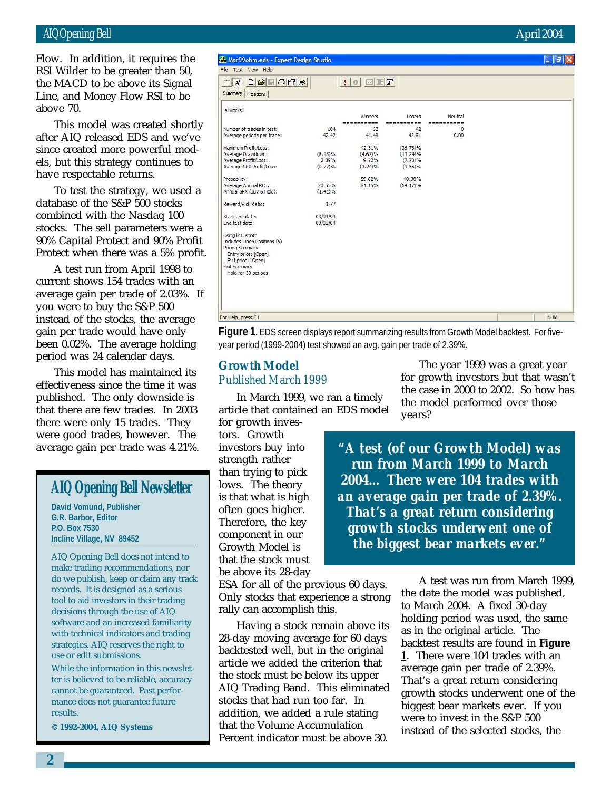Flow. In addition, it requires the RSI Wilder to be greater than 50, the MACD to be above its Signal Line, and Money Flow RSI to be above 70.

This model was created shortly after AIQ released EDS and we've since created more powerful models, but this strategy continues to have respectable returns.

To test the strategy, we used a database of the S&P 500 stocks combined with the Nasdaq 100 stocks. The sell parameters were a 90% Capital Protect and 90% Profit Protect when there was a 5% profit.

A test run from April 1998 to current shows 154 trades with an average gain per trade of 2.03%. If you were to buy the S&P 500 instead of the stocks, the average gain per trade would have only been 0.02%. The average holding period was 24 calendar days.

This model has maintained its effectiveness since the time it was published. The only downside is that there are few trades. In 2003 there were only 15 trades. They were good trades, however. The average gain per trade was 4.21%.

## **AIQ Opening Bell Newsletter**

**David Vomund, Publisher G.R. Barbor, Editor P.O. Box 7530 Incline Village, NV 89452**

AIQ Opening Bell does not intend to make trading recommendations, nor do we publish, keep or claim any track records. It is designed as a serious tool to aid investors in their trading decisions through the use of AIQ software and an increased familiarity with technical indicators and trading strategies. AIQ reserves the right to use or edit submissions.

While the information in this newsletter is believed to be reliable, accuracy cannot be guaranteed. Past performance does not guarantee future results.

**© 1992-2004, AIQ Systems**

## AIQ Opening Bell April 2004

| <b>Maryyobm.eds - Expert Design Studio</b> |            |                         |             |            | $\Box$ $\Box$ $\Box$ $\Box$ |
|--------------------------------------------|------------|-------------------------|-------------|------------|-----------------------------|
| File Test View Help                        |            |                         |             |            |                             |
| $D E  E E X $<br>$\Box$ $\Lambda$          |            | $:$ $\circ$ $\boxdot$ F |             |            |                             |
|                                            |            |                         |             |            |                             |
| Summary<br>Positions                       |            |                         |             |            |                             |
| allworks6                                  |            |                         |             |            |                             |
|                                            |            | Winners                 | Losers      | Neutral    |                             |
|                                            |            | ----------              | ----------  | ---------- |                             |
| Number of trades in test:                  | 104        | 62                      | 42          | 0          |                             |
| Average periods per trade:                 | 42.42      | 41.48                   | 43.81       | 0.00       |                             |
| Maximum Profit/Loss:                       |            | 42.31%                  | $(36.76)\%$ |            |                             |
| Average Drawdown:                          | $(8.13)\%$ | (4.67)%                 | $(13.24)\%$ |            |                             |
| Average Profit/Loss:                       | 2.39%      | 9.22%                   | $(7.70)\%$  |            |                             |
| Average SPX Profit/Loss:                   | (0.77)%    | (0.24)%                 | $(1.56)\%$  |            |                             |
| Probability:                               |            | 59.62%                  | 40.38%      |            |                             |
| Average Annual ROI:                        | 20.55%     | 81.15%                  | $(64.17)\%$ |            |                             |
| Annual SPX (Buy & Hold):                   | $(1.41)\%$ |                         |             |            |                             |
| Reward/Risk Ratio:                         | 1.77       |                         |             |            |                             |
| Start test date:                           | 03/01/99   |                         |             |            |                             |
| End test date:                             | 03/02/04   |                         |             |            |                             |
| Using list: spotc                          |            |                         |             |            |                             |
| Includes Open Positions (5)                |            |                         |             |            |                             |
| <b>Pricing Summary</b>                     |            |                         |             |            |                             |
| Entry price: [Open]                        |            |                         |             |            |                             |
| Exit price: [Open]                         |            |                         |             |            |                             |
| <b>Exit Summary</b>                        |            |                         |             |            |                             |
| Hold for 30 periods                        |            |                         |             |            |                             |
|                                            |            |                         |             |            |                             |
|                                            |            |                         |             |            |                             |
|                                            |            |                         |             |            |                             |
|                                            |            |                         |             |            |                             |
|                                            |            |                         |             |            |                             |
| or Help, press F1                          |            |                         |             |            | <b>NUM</b>                  |
|                                            |            |                         |             |            |                             |

**Figure 1.** EDS screen displays report summarizing results from Growth Model backtest. For fiveyear period (1999-2004) test showed an avg. gain per trade of 2.39%.

## **Growth Model** *Published March 1999*

In March 1999, we ran a timely article that contained an EDS model

for growth investors. Growth investors buy into strength rather than trying to pick lows. The theory is that what is high often goes higher. Therefore, the key component in our Growth Model is that the stock must be above its 28-day

ESA for all of the previous 60 days. Only stocks that experience a strong rally can accomplish this.

Having a stock remain above its 28-day moving average for 60 days backtested well, but in the original article we added the criterion that the stock must be below its upper AIQ Trading Band. This eliminated stocks that had run too far. In addition, we added a rule stating that the Volume Accumulation Percent indicator must be above 30.

The year 1999 was a great year for growth investors but that wasn't the case in 2000 to 2002. So how has the model performed over those years?

*"A test (of our Growth Model) was run from March 1999 to March 2004… There were 104 trades with an average gain per trade of 2.39%. That's a great return considering growth stocks underwent one of the biggest bear markets ever."*

> A test was run from March 1999, the date the model was published, to March 2004. A fixed 30-day holding period was used, the same as in the original article. The backtest results are found in **Figure 1**. There were 104 trades with an average gain per trade of 2.39%. That's a great return considering growth stocks underwent one of the biggest bear markets ever. If you were to invest in the S&P 500 instead of the selected stocks, the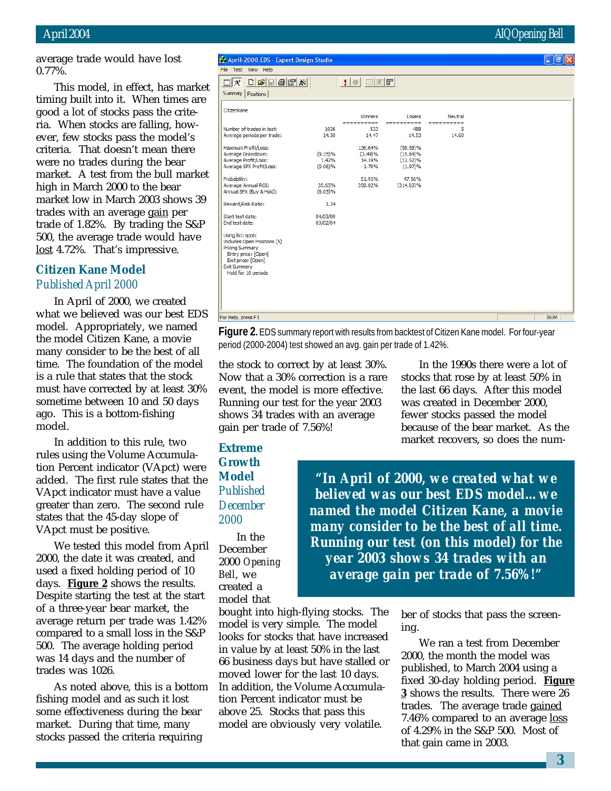## April 2004 AIQ Opening Bell

average trade would have lost 0.77%.

This model, in effect, has market timing built into it. When times are good a lot of stocks pass the criteria. When stocks are falling, however, few stocks pass the model's criteria. That doesn't mean there were no trades during the bear market. A test from the bull market high in March 2000 to the bear market low in March 2003 shows 39 trades with an average gain per trade of 1.82%. By trading the S&P 500, the average trade would have lost 4.72%. That's impressive.

## **Citizen Kane Model** *Published April 2000*

In April of 2000, we created what we believed was our best EDS model. Appropriately, we named the model Citizen Kane, a movie many consider to be the best of all time. The foundation of the model is a rule that states that the stock must have corrected by at least 30% sometime between 10 and 50 days ago. This is a bottom-fishing model.

In addition to this rule, two rules using the Volume Accumulation Percent indicator (VApct) were added. The first rule states that the VApct indicator must have a value greater than zero. The second rule states that the 45-day slope of VApct must be positive.

We tested this model from April 2000, the date it was created, and used a fixed holding period of 10 days. **Figure 2** shows the results. Despite starting the test at the start of a three-year bear market, the average return per trade was 1.42% compared to a small loss in the S&P 500. The average holding period was 14 days and the number of trades was 1026.

As noted above, this is a bottom fishing model and as such it lost some effectiveness during the bear market. During that time, many stocks passed the criteria requiring

April-2000.EDS - Expert Design Studio

File Test View Help

**Figure 2.** EDS summary report with results from backtest of Citizen Kane model. For four-year period (2000-2004) test showed an avg. gain per trade of 1.42%.

the stock to correct by at least 30%. Now that a 30% correction is a rare event, the model is more effective. Running our test for the year 2003 shows 34 trades with an average gain per trade of 7.56%!

**Extreme Growth Model** *Published December 2000*

In the December 2000 *Opening Bell*, we created a model that

bought into high-flying stocks. The model is very simple. The model looks for stocks that have increased in value by at least 50% in the last 66 business days but have stalled or moved lower for the last 10 days. In addition, the Volume Accumulation Percent indicator must be above 25. Stocks that pass this model are obviously very volatile.

In the 1990s there were a lot of stocks that rose by at least 50% in the last 66 days. After this model was created in December 2000, fewer stocks passed the model because of the bear market. As the market recovers, so does the num-

*"In April of 2000, we created what we believed was our best EDS model…we named the model Citizen Kane, a movie many consider to be the best of all time. Running our test (on this model) for the year 2003 shows 34 trades with an average gain per trade of 7.56%!"*

> ber of stocks that pass the screening.

We ran a test from December 2000, the month the model was published, to March 2004 using a fixed 30-day holding period. **Figure 3** shows the results. There were 26 trades. The average trade gained 7.46% compared to an average loss of 4.29% in the S&P 500. Most of that gain came in 2003.

 $\|.\|$ a $\|.$ 

| 14.50      | 14.47              | 14.53                                                 | 14.60                                                                    |                            |  |
|------------|--------------------|-------------------------------------------------------|--------------------------------------------------------------------------|----------------------------|--|
|            |                    |                                                       |                                                                          |                            |  |
|            |                    |                                                       |                                                                          |                            |  |
| 1.42%      | 14.19%             |                                                       |                                                                          |                            |  |
| (0.06)%    | 1.70%              | (1.97)%                                               |                                                                          |                            |  |
|            | 51.95%             | 47.56%                                                |                                                                          |                            |  |
| 35.65%     | 358.02%            | $(314.63)\%$                                          |                                                                          |                            |  |
| $(6.05)\%$ |                    |                                                       |                                                                          |                            |  |
| 1.24       |                    |                                                       |                                                                          |                            |  |
| 04/03/00   |                    |                                                       |                                                                          |                            |  |
| 03/02/04   |                    |                                                       |                                                                          |                            |  |
|            |                    |                                                       |                                                                          |                            |  |
|            |                    |                                                       |                                                                          |                            |  |
|            |                    |                                                       |                                                                          |                            |  |
|            |                    |                                                       |                                                                          |                            |  |
|            |                    |                                                       |                                                                          |                            |  |
|            |                    |                                                       |                                                                          |                            |  |
|            |                    |                                                       |                                                                          |                            |  |
|            |                    |                                                       |                                                                          |                            |  |
|            |                    |                                                       |                                                                          |                            |  |
|            |                    |                                                       |                                                                          |                            |  |
|            |                    |                                                       |                                                                          |                            |  |
|            | 1026<br>$(9.35)\%$ | Winners<br>----------<br>533<br>136.64%<br>$(3.49)\%$ | Losers<br>----------<br>488<br>$(58.58)\%$<br>$(15.84)\%$<br>$(12.52)\%$ | Neutral<br>----------<br>5 |  |

 $\bullet$  of  $\blacksquare$   $\blacksquare$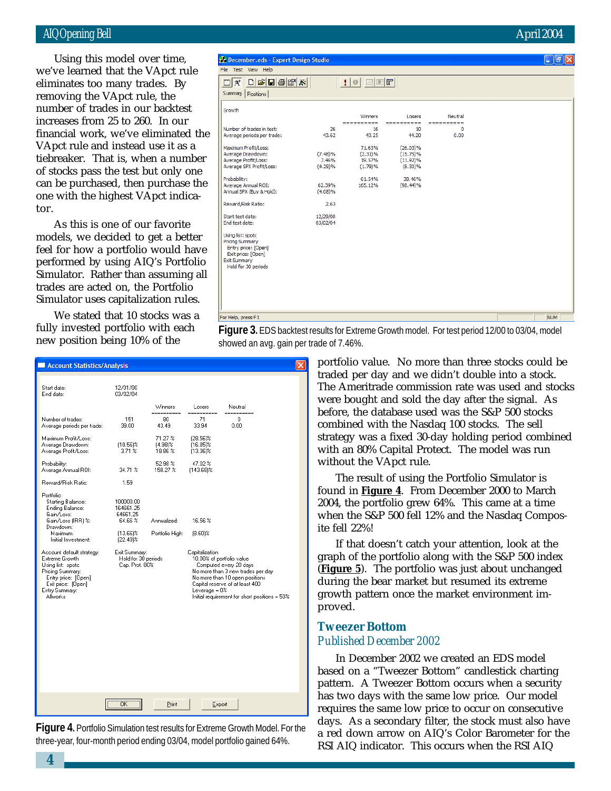## AIQ Opening Bell April 2004

Using this model over time, we've learned that the VApct rule eliminates too many trades. By removing the VApct rule, the number of trades in our backtest increases from 25 to 260. In our financial work, we've eliminated the VApct rule and instead use it as a tiebreaker. That is, when a number of stocks pass the test but only one can be purchased, then purchase the one with the highest VApct indicator.

As this is one of our favorite models, we decided to get a better feel for how a portfolio would have performed by using AIQ's Portfolio Simulator. Rather than assuming all trades are acted on, the Portfolio Simulator uses capitalization rules.

We stated that 10 stocks was a fully invested portfolio with each new position being 10% of the

| December.eds - Expert Design Studio |             |                          |             |                        | F<br>в     |
|-------------------------------------|-------------|--------------------------|-------------|------------------------|------------|
| File Test View Help                 |             |                          |             |                        |            |
| D E E E X <br>$\Box$<br>$A^*$       |             | $:$ $\circ$ $\boxdot$ Ff |             |                        |            |
| Summary<br>Positions                |             |                          |             |                        |            |
| Growth                              |             |                          |             |                        |            |
|                                     |             | Winners                  | Losers      | Neutral                |            |
| Number of trades in test:           |             |                          |             | $=$ $=$                |            |
| Average periods per trade:          | 26<br>43.62 | 16<br>43.25              | 10<br>44.20 | $\overline{0}$<br>0.00 |            |
|                                     |             |                          |             |                        |            |
| Maximum Profit/Loss:                |             | 71.63%                   | $(26.03)\%$ |                        |            |
| Average Drawdown:                   | $(7.48)\%$  | $(2.31)\%$               | $(15.75)\%$ |                        |            |
| Average Profit/Loss:                | 7.46%       | 19.57%                   | $(11.92)\%$ |                        |            |
| Average SPX Profit/Loss:            | (4.29)%     | (1.79)%                  | $(8.30)\%$  |                        |            |
| Probability:                        |             | 61.54%                   | 38, 46%     |                        |            |
| Average Annual ROI:                 | 62.39%      | 165.12%                  | $(98.44)\%$ |                        |            |
| Annual SPX (Buy & Hold):            | $(4.08)\%$  |                          |             |                        |            |
| Reward/Risk Ratio:                  | 2.63        |                          |             |                        |            |
| Start test date:                    | 12/29/00    |                          |             |                        |            |
| End test date:                      | 03/02/04    |                          |             |                        |            |
| Using list: spotc                   |             |                          |             |                        |            |
| <b>Pricing Summary</b>              |             |                          |             |                        |            |
| Entry price: [Open]                 |             |                          |             |                        |            |
| Exit price: [Open]<br>Exit Summary  |             |                          |             |                        |            |
| Hold for 30 periods                 |             |                          |             |                        |            |
|                                     |             |                          |             |                        |            |
|                                     |             |                          |             |                        |            |
|                                     |             |                          |             |                        |            |
|                                     |             |                          |             |                        |            |
|                                     |             |                          |             |                        |            |
|                                     |             |                          |             |                        |            |
| For Help, press F1                  |             |                          |             |                        | <b>NUM</b> |

**Figure 3.** EDS backtest results for Extreme Growth model. For test period 12/00 to 03/04, model showed an avg. gain per trade of 7.46%.

| Account Statistics/Analysis                                                                                                                                                                                                                                                                          |                                                                                                                      |                                                                                                                                |                                                                                                                              |                                                                                                                                                                                                                |  |
|------------------------------------------------------------------------------------------------------------------------------------------------------------------------------------------------------------------------------------------------------------------------------------------------------|----------------------------------------------------------------------------------------------------------------------|--------------------------------------------------------------------------------------------------------------------------------|------------------------------------------------------------------------------------------------------------------------------|----------------------------------------------------------------------------------------------------------------------------------------------------------------------------------------------------------------|--|
| Start date:<br>End date:                                                                                                                                                                                                                                                                             | 12/01/00<br>03/02/04                                                                                                 |                                                                                                                                |                                                                                                                              |                                                                                                                                                                                                                |  |
| Number of trades:<br>Average periods per trade:<br>Maximum Profit/Loss:<br>Average Drawdown:<br>Average Profit/Loss:<br>Probability:<br>Average Annual ROI:<br>Reward/Risk Ratio:<br>Portfolio:<br>Starting Balance:<br>Ending Balance:<br>Gain/Loss:<br>Gain/Loss (IRR) %:<br>Drawdown:<br>Maximum: | 151<br>39.00<br>$(10.56)\%$<br>3.71%<br>34.71 %<br>1.59<br>100000.00<br>164661.25<br>64661.25<br>64.66%<br>(13.661%) | Winners<br>----------<br>80<br>43.49<br>71.27 %<br>(4.98)%<br>18.86 %<br>52.98 %<br>158.27 %<br>Annualized:<br>Portfolio High: | Losers<br>----------<br>71<br>33.94<br>(28.56)%<br>$(16.85)\%$<br>$(13.36)$ %<br>47.02%<br>(143.68)%<br>16.56%<br>$(8.60)$ % | Neutral<br>---------<br>Ω<br>0.00                                                                                                                                                                              |  |
| Initial Investment:<br>Account default strategy:<br>Extreme Growth<br>Using list: spote<br>Pricing Summary:<br>Entry price: [Open]<br>Exit price: [Open]<br>Entry Summary:<br>Allworks                                                                                                               | $[22.49]$ %<br>Exit Summary:<br>Hold for 30 periods<br>Cap. Prot. 80%                                                |                                                                                                                                | Capitalization<br>Leverage = 0%                                                                                              | 10.00% of portfolio value<br>Computed every 20 days<br>No more than 3 new trades per day<br>No more than 10 open positions<br>Capital reserve of at least 400<br>Initial requirement for short positions = 50% |  |
|                                                                                                                                                                                                                                                                                                      | ÖK                                                                                                                   | Print                                                                                                                          |                                                                                                                              | Export                                                                                                                                                                                                         |  |

**Figure 4.** Portfolio Simulation test results for Extreme Growth Model. For the three-year, four-month period ending 03/04, model portfolio gained 64%.

portfolio value. No more than three stocks could be traded per day and we didn't double into a stock. The Ameritrade commission rate was used and stocks were bought and sold the day after the signal. As before, the database used was the S&P 500 stocks combined with the Nasdaq 100 stocks. The sell strategy was a fixed 30-day holding period combined with an 80% Capital Protect. The model was run without the VApct rule.

The result of using the Portfolio Simulator is found in **Figure 4**. From December 2000 to March 2004, the portfolio grew 64%. This came at a time when the S&P 500 fell 12% and the Nasdaq Composite fell 22%!

If that doesn't catch your attention, look at the graph of the portfolio along with the S&P 500 index (**Figure 5**). The portfolio was just about unchanged during the bear market but resumed its extreme growth pattern once the market environment improved.

## **Tweezer Bottom** *Published December 2002*

In December 2002 we created an EDS model based on a "Tweezer Bottom" candlestick charting pattern. A Tweezer Bottom occurs when a security has two days with the same low price. Our model requires the same low price to occur on consecutive days. As a secondary filter, the stock must also have a red down arrow on AIQ's Color Barometer for the RSI AIQ indicator. This occurs when the RSI AIQ

**4**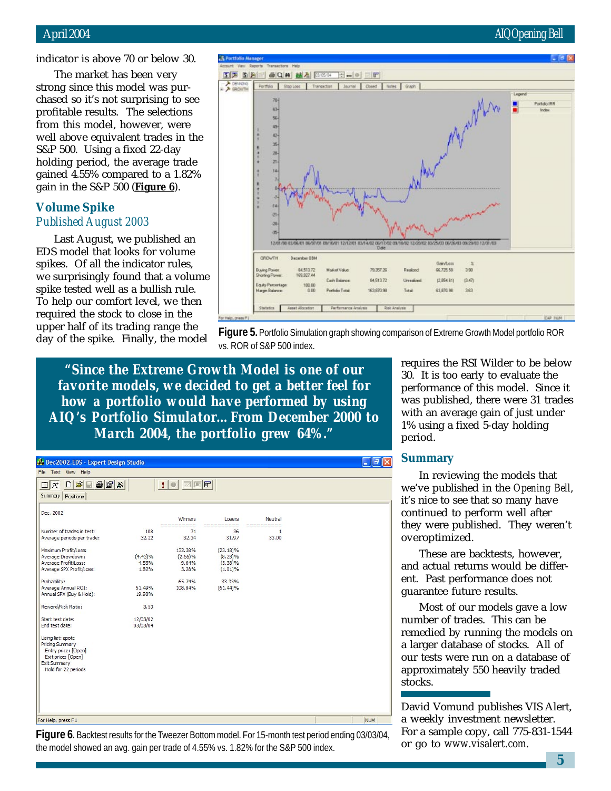indicator is above 70 or below 30.

The market has been very strong since this model was purchased so it's not surprising to see profitable results. The selections from this model, however, were well above equivalent trades in the S&P 500. Using a fixed 22-day holding period, the average trade gained 4.55% compared to a 1.82% gain in the S&P 500 (**Figure 6**).

## **Volume Spike** *Published August 2003*

Last August, we published an EDS model that looks for volume spikes. Of all the indicator rules, we surprisingly found that a volume spike tested well as a bullish rule. To help our comfort level, we then required the stock to close in the upper half of its trading range the day of the spike. Finally, the model





*"Since the Extreme Growth Model is one of our favorite models, we decided to get a better feel for how a portfolio would have performed by using AIQ's Portfolio Simulator…From December 2000 to March 2004, the portfolio grew 64%."*

| Dec2002.EDS - Expert Design Studio             |            |                          |             |              | ∥ō<br>$\rightarrow$ |
|------------------------------------------------|------------|--------------------------|-------------|--------------|---------------------|
| File Test View Help                            |            |                          |             |              |                     |
| $D E E B F X $<br>$\Box$<br>$\mathbf{A}^{\!+}$ |            | $\bullet$ $\blacksquare$ |             |              |                     |
| Summary Positions                              |            |                          |             |              |                     |
| Dec. 2002                                      |            |                          |             |              |                     |
|                                                |            | Winners                  | Losers      | Neutral      |                     |
|                                                |            |                          |             | ----------   |                     |
| Number of trades in test:                      | 108        | 71                       | 36          | $\mathbf{1}$ |                     |
| Average periods per trade:                     | 32.22      | 32.34                    | 31.97       | 33.00        |                     |
| Maximum Profit/Loss:                           |            | 132.38%                  | $(23.18)\%$ |              |                     |
| Average Drawdown:                              | $(4.43)\%$ | (2.55)%                  | $(8.28)\%$  |              |                     |
| Average Profit/Loss:                           | 4.55%      | 9.64%                    | $(5.38)\%$  |              |                     |
| Average SPX Profit/Loss:                       | 1.82%      | 3.28%                    | $(1.01)\%$  |              |                     |
| Probability:                                   |            | 65.74%                   | 33.33%      |              |                     |
| Average Annual ROI:                            | 51.49%     | 108.84%                  | $(61.44)\%$ |              |                     |
| Annual SPX (Buy & Hold):                       | 19.98%     |                          |             |              |                     |
| Reward/Risk Ratio:                             | 3.53       |                          |             |              |                     |
| Start test date:                               | 12/03/02   |                          |             |              |                     |
| End test date:                                 | 03/03/04   |                          |             |              |                     |
| Using list: spotc                              |            |                          |             |              |                     |
| <b>Pricing Summary</b>                         |            |                          |             |              |                     |
| Entry price: [Open]                            |            |                          |             |              |                     |
| Exit price: [Open]                             |            |                          |             |              |                     |
| <b>Exit Summary</b>                            |            |                          |             |              |                     |
| Hold for 22 periods                            |            |                          |             |              |                     |
|                                                |            |                          |             |              |                     |
|                                                |            |                          |             |              |                     |
|                                                |            |                          |             |              |                     |
|                                                |            |                          |             |              |                     |
|                                                |            |                          |             |              |                     |
|                                                |            |                          |             |              |                     |

**Figure 6.** Backtest results for the Tweezer Bottom model. For 15-month test period ending 03/03/04, the model showed an avg. gain per trade of 4.55% vs. 1.82% for the S&P 500 index.

requires the RSI Wilder to be below 30. It is too early to evaluate the performance of this model. Since it was published, there were 31 trades with an average gain of just under 1% using a fixed 5-day holding period.

## **Summary**

In reviewing the models that we've published in the *Opening Bell*, it's nice to see that so many have continued to perform well after they were published. They weren't overoptimized.

These are backtests, however, and actual returns would be different. Past performance does not guarantee future results.

Most of our models gave a low number of trades. This can be remedied by running the models on a larger database of stocks. All of our tests were run on a database of approximately 550 heavily traded stocks.

David Vomund publishes VIS Alert, a weekly investment newsletter. For a sample copy, call 775-831-1544 or go to *www.visalert.com.*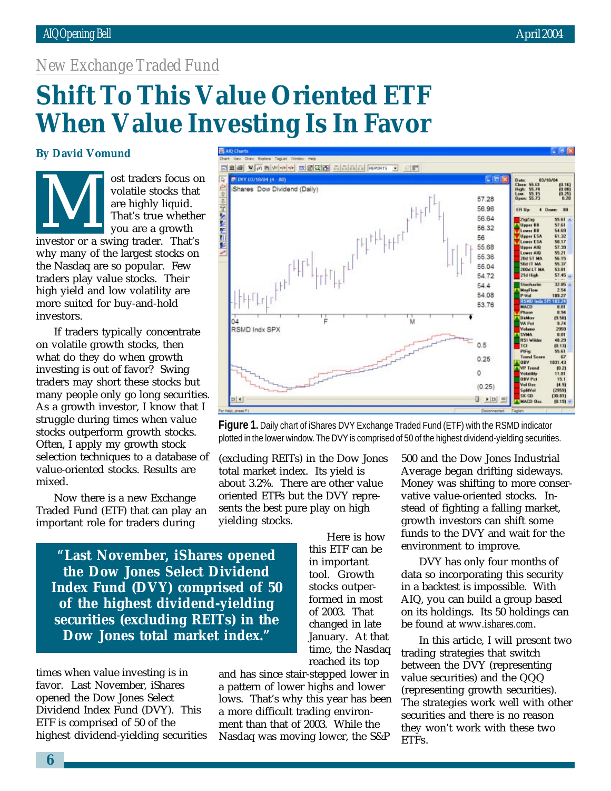## *New Exchange Traded Fund*

# **Shift To This Value Oriented ETF When Value Investing Is In Favor**

## **By David Vomund**

ost traders focus on volatile stocks that are highly liquid. That's true whether you are a growth solutile stocks that<br>
are highly liquid.<br>
That's true whethe<br>
you are a growth<br>
investor or a swing trader. That's why many of the largest stocks on the Nasdaq are so popular. Few traders play value stocks. Their high yield and low volatility are more suited for buy-and-hold investors.

If traders typically concentrate on volatile growth stocks, then what do they do when growth investing is out of favor? Swing traders may short these stocks but many people only go long securities. As a growth investor, I know that I struggle during times when value stocks outperform growth stocks. Often, I apply my growth stock selection techniques to a database of value-oriented stocks. Results are mixed.

Now there is a new Exchange Traded Fund (ETF) that can play an important role for traders during

*"***Last November, iShares opened the Dow Jones Select Dividend Index Fund (DVY) comprised of 50 of the highest dividend-yielding securities (excluding REITs) in the Dow Jones total market index."**

times when value investing is in favor. Last November, iShares opened the Dow Jones Select Dividend Index Fund (DVY). This ETF is comprised of 50 of the highest dividend-yielding securities

and has since stair-stepped lower in a pattern of lower highs and lower lows. That's why this year has been a more difficult trading environment than that of 2003. While the Nasdaq was moving lower, the S&P

500 and the Dow Jones Industrial Average began drifting sideways. Money was shifting to more conservative value-oriented stocks. Instead of fighting a falling market, growth investors can shift some funds to the DVY and wait for the environment to improve.

DVY has only four months of data so incorporating this security in a backtest is impossible. With AIQ, you can build a group based on its holdings. Its 50 holdings can be found at *www.ishares.com*.

In this article, I will present two trading strategies that switch between the DVY (representing value securities) and the QQQ (representing growth securities). The strategies work well with other securities and there is no reason they won't work with these two ETFs.

**Figure 1.** Daily chart of iShares DVY Exchange Traded Fund (ETF) with the RSMD indicator plotted in the lower window. The DVY is comprised of 50 of the highest dividend-yielding securities. (excluding REITs) in the Dow Jones

total market index. Its yield is about 3.2%. There are other value oriented ETFs but the DVY represents the best pure play on high yielding stocks.

> Here is how this ETF can be in important tool. Growth stocks outperformed in most of 2003. That changed in late January. At that time, the Nasdaq reached its top

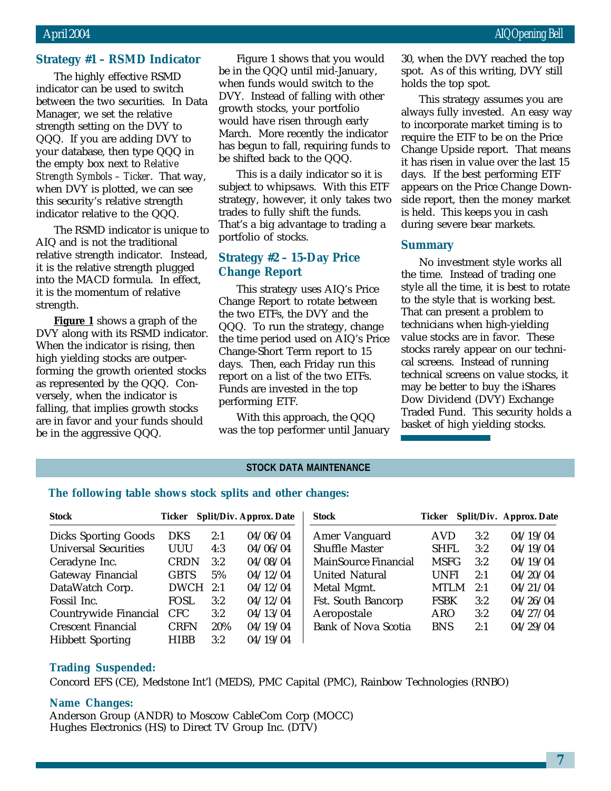#### **Strategy #1 – RSMD Indicator**

The highly effective RSMD indicator can be used to switch between the two securities. In Data Manager, we set the relative strength setting on the DVY to QQQ. If you are adding DVY to your database, then type QQQ in the empty box next to *Relative Strength Symbols – Ticker*. That way, when DVY is plotted, we can see this security's relative strength indicator relative to the QQQ.

The RSMD indicator is unique to AIQ and is not the traditional relative strength indicator. Instead, it is the relative strength plugged into the MACD formula. In effect, it is the momentum of relative strength.

**Figure 1** shows a graph of the DVY along with its RSMD indicator. When the indicator is rising, then high yielding stocks are outperforming the growth oriented stocks as represented by the QQQ. Conversely, when the indicator is falling, that implies growth stocks are in favor and your funds should be in the aggressive QQQ.

Figure 1 shows that you would be in the QQQ until mid-January, when funds would switch to the DVY. Instead of falling with other growth stocks, your portfolio would have risen through early March. More recently the indicator has begun to fall, requiring funds to be shifted back to the QQQ.

This is a daily indicator so it is subject to whipsaws. With this ETF strategy, however, it only takes two trades to fully shift the funds. That's a big advantage to trading a portfolio of stocks.

## **Strategy #2 – 15-Day Price Change Report**

This strategy uses AIQ's Price Change Report to rotate between the two ETFs, the DVY and the QQQ. To run the strategy, change the time period used on AIQ's Price Change-Short Term report to 15 days. Then, each Friday run this report on a list of the two ETFs. Funds are invested in the top performing ETF.

With this approach, the QQQ was the top performer until January 30, when the DVY reached the top spot. As of this writing, DVY still holds the top spot.

This strategy assumes you are always fully invested. An easy way to incorporate market timing is to require the ETF to be on the Price Change Upside report. That means it has risen in value over the last 15 days. If the best performing ETF appears on the Price Change Downside report, then the money market is held. This keeps you in cash during severe bear markets.

#### **Summary**

No investment style works all the time. Instead of trading one style all the time, it is best to rotate to the style that is working best. That can present a problem to technicians when high-yielding value stocks are in favor. These stocks rarely appear on our technical screens. Instead of running technical screens on value stocks, it may be better to buy the iShares Dow Dividend (DVY) Exchange Traded Fund. This security holds a basket of high yielding stocks.

## **STOCK DATA MAINTENANCE**

## **The following table shows stock splits and other changes:**

| <b>Stock</b>                | Ticker      |     | <b>Split/Div. Approx. Date</b> | <b>Stock</b>               | Ticker      |     | Split/Div. Approx. Date |
|-----------------------------|-------------|-----|--------------------------------|----------------------------|-------------|-----|-------------------------|
| <b>Dicks Sporting Goods</b> | <b>DKS</b>  | 2:1 | 04/06/04                       | Amer Vanguard              | <b>AVD</b>  | 3:2 | 04/19/04                |
| <b>Universal Securities</b> | <b>UUU</b>  | 4:3 | 04/06/04                       | <b>Shuffle Master</b>      | <b>SHFL</b> | 3:2 | 04/19/04                |
| Ceradyne Inc.               | <b>CRDN</b> | 3:2 | 04/08/04                       | MainSource Financial       | <b>MSFG</b> | 3:2 | 04/19/04                |
| <b>Gateway Financial</b>    | <b>GBTS</b> | 5%  | 04/12/04                       | <b>United Natural</b>      | <b>UNFI</b> | 2:1 | 04/20/04                |
| DataWatch Corp.             | <b>DWCH</b> | 2:1 | 04/12/04                       | Metal Mgmt.                | MTLM        | 2:1 | 04/21/04                |
| Fossil Inc.                 | <b>FOSL</b> | 3:2 | 04/12/04                       | <b>Fst. South Bancorp</b>  | <b>FSBK</b> | 3:2 | 04/26/04                |
| Countrywide Financial       | <b>CFC</b>  | 3:2 | 04/13/04                       | Aeropostale                | ARO         | 3:2 | 04/27/04                |
| <b>Crescent Financial</b>   | <b>CRFN</b> | 20% | 04/19/04                       | <b>Bank of Nova Scotia</b> | <b>BNS</b>  | 2:1 | 04/29/04                |
| <b>Hibbett Sporting</b>     | HIBB        | 3:2 | 04/19/04                       |                            |             |     |                         |

### **Trading Suspended:**

Concord EFS (CE), Medstone Int'l (MEDS), PMC Capital (PMC), Rainbow Technologies (RNBO)

## **Name Changes:**

Anderson Group (ANDR) to Moscow CableCom Corp (MOCC) Hughes Electronics (HS) to Direct TV Group Inc. (DTV)